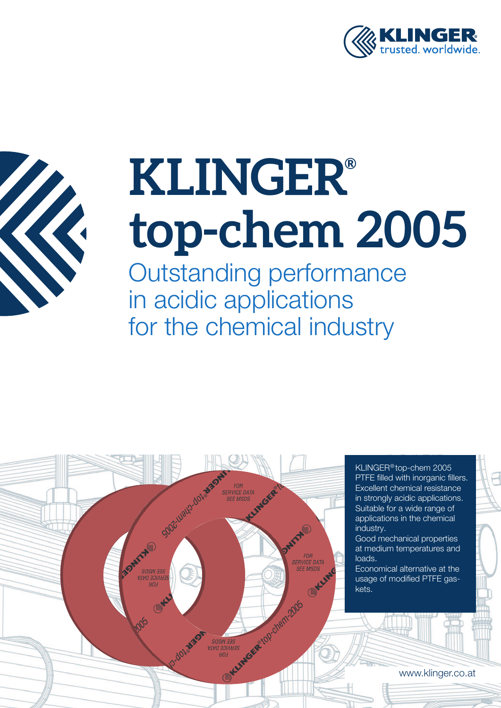



Outstanding performance in acidic applications for the chemical industry

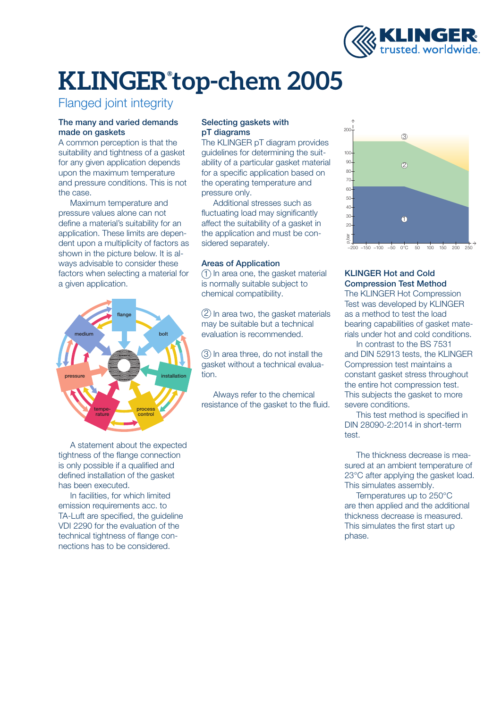

### Flanged joint integrity

#### The many and varied demands made on gaskets

A common perception is that the suitability and tightness of a gasket for any given application depends upon the maximum temperature and pressure conditions. This is not the case.

Maximum temperature and pressure values alone can not define a material's suitability for an application. These limits are dependent upon a multiplicity of factors as shown in the picture below. It is always advisable to consider these factors when selecting a material for a given application.



A statement about the expected tightness of the flange connection is only possible if a qualified and defined installation of the gasket has been executed.

In facilities, for which limited emission requirements acc. to TA-Luft are specified, the guideline VDI 2290 for the evaluation of the technical tightness of flange connections has to be considered.

#### Selecting gaskets with pT diagrams

The KLINGER pT diagram provides guidelines for determining the suitability of a particular gasket material for a specific application based on the operating temperature and pressure only.

Additional stresses such as fluctuating load may significantly affect the suitability of a gasket in the application and must be considered separately.

#### Areas of Application

 $\left( 1\right)$  In area one, the gasket material is normally suitable subject to chemical compatibility.

2) In area two, the gasket materials may be suitable but a technical evaluation is recommended.

 $\left( 3\right)$  In area three, do not install the gasket without a technical evaluation.

Always refer to the chemical resistance of the gasket to the fluid.



#### KLINGER Hot and Cold Compression Test Method

The KLINGER Hot Compression Test was developed by KLINGER as a method to test the load bearing capabilities of gasket materials under hot and cold conditions.

In contrast to the BS 7531 and DIN 52913 tests, the KLINGER Compression test maintains a constant gasket stress throughout the entire hot compression test. This subjects the gasket to more severe conditions.

This test method is specified in DIN 28090-2:2014 in short-term test.

The thickness decrease is measured at an ambient temperature of 23°C after applying the gasket load. This simulates assembly.

Temperatures up to 250°C are then applied and the additional thickness decrease is measured. This simulates the first start up phase.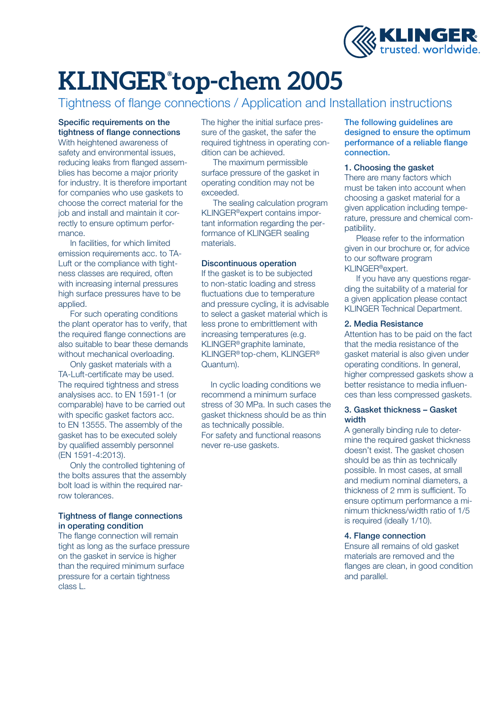

Tightness of flange connections / Application and Installation instructions

#### Specific requirements on the tightness of flange connections

With heightened awareness of safety and environmental issues, reducing leaks from flanged assemblies has become a major priority for industry. It is therefore important for companies who use gaskets to choose the correct material for the job and install and maintain it correctly to ensure optimum performance.

In facilities, for which limited emission requirements acc. to TA-Luft or the compliance with tightness classes are required, often with increasing internal pressures high surface pressures have to be applied.

For such operating conditions the plant operator has to verify, that the required flange connections are also suitable to bear these demands without mechanical overloading.

Only gasket materials with a TA-Luft-certificate may be used. The required tightness and stress analysises acc. to EN 1591-1 (or comparable) have to be carried out with specific gasket factors acc. to EN 13555. The assembly of the gasket has to be executed solely by qualified assembly personnel (EN 1591-4:2013).

Only the controlled tightening of the bolts assures that the assembly bolt load is within the required narrow tolerances.

#### Tightness of flange connections in operating condition

The flange connection will remain tight as long as the surface pressure on the gasket in service is higher than the required minimum surface pressure for a certain tightness class L.

The higher the initial surface pressure of the gasket, the safer the required tightness in operating condition can be achieved.

The maximum permissible surface pressure of the gasket in operating condition may not be exceeded.

The sealing calculation program KLINGER®expert contains important information regarding the performance of KLINGER sealing materials.

#### Discontinuous operation

If the gasket is to be subjected to non-static loading and stress fluctuations due to temperature and pressure cycling, it is advisable to select a gasket material which is less prone to embrittlement with increasing temperatures (e.g. KLINGER® graphite laminate, KLINGER® top-chem, KLINGER® Quantum).

In cyclic loading conditions we recommend a minimum surface stress of 30 MPa. In such cases the gasket thickness should be as thin as technically possible. For safety and functional reasons never re-use gaskets.

#### The following guidelines are designed to ensure the optimum performance of a reliable flange connection.

#### 1. Choosing the gasket

There are many factors which must be taken into account when choosing a gasket material for a given application including temperature, pressure and chemical compatibility.

Please refer to the information given in our brochure or, for advice to our software program KLINGER®expert.

If you have any questions regarding the suitability of a material for a given application please contact KLINGER Technical Department.

#### 2. Media Resistance

Attention has to be paid on the fact that the media resistance of the gasket material is also given under operating conditions. In general, higher compressed gaskets show a better resistance to media influences than less compressed gaskets.

#### 3. Gasket thickness – Gasket width

A generally binding rule to determine the required gasket thickness doesn't exist. The gasket chosen should be as thin as technically possible. In most cases, at small and medium nominal diameters, a thickness of 2 mm is sufficient. To ensure optimum performance a minimum thickness/width ratio of 1/5 is required (ideally 1/10).

#### 4. Flange connection

Ensure all remains of old gasket materials are removed and the flanges are clean, in good condition and parallel.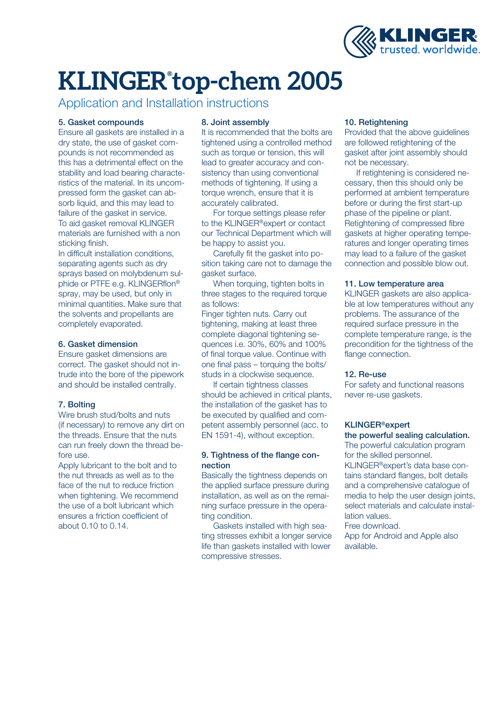

Application and Installation instructions

#### 5. Gasket compounds

Ensure all gaskets are installed in a dry state, the use of gasket compounds is not recommended as this has a detrimental effect on the stability and load bearing characteristics of the material. In its uncompressed form the gasket can absorb liquid, and this may lead to failure of the gasket in service. To aid gasket removal KLINGER materials are furnished with a non sticking finish.

In difficult installation conditions, separating agents such as dry sprays based on molybdenum sulphide or PTFE e.g. KLINGERflon® spray, may be used, but only in minimal quantities. Make sure that the solvents and propellants are completely evaporated.

#### 6. Gasket dimension

Ensure gasket dimensions are correct. The gasket should not intrude into the bore of the pipework and should be installed centrally.

#### 7. Bolting

Wire brush stud/bolts and nuts (if necessary) to remove any dirt on the threads. Ensure that the nuts can run freely down the thread before use.

Apply lubricant to the bolt and to the nut threads as well as to the face of the nut to reduce friction when tightening. We recommend the use of a bolt lubricant which ensures a friction coefficient of about 0.10 to 0.14.

#### 8. Joint assembly

It is recommended that the bolts are tightened using a controlled method such as torque or tension, this will lead to greater accuracy and consistency than using conventional methods of tightening. If using a torque wrench, ensure that it is accurately calibrated.

For torque settings please refer to the KLINGER®expert or contact our Technical Department which will be happy to assist you.

Carefully fit the gasket into position taking care not to damage the gasket surface.

When torquing, tighten bolts in three stages to the required torque as follows:

Finger tighten nuts. Carry out tightening, making at least three complete diagonal tightening sequences i.e. 30%, 60% and 100% of final torque value. Continue with one final pass – torquing the bolts/ studs in a clockwise sequence.

If certain tightness classes should be achieved in critical plants, the installation of the gasket has to be executed by qualified and competent assembly personnel (acc. to EN 1591-4), without exception.

#### 9. Tightness of the flange connection

Basically the tightness depends on the applied surface pressure during installation, as well as on the remaining surface pressure in the operating condition.

Gaskets installed with high seating stresses exhibit a longer service life than gaskets installed with lower compressive stresses.

#### 10. Retightening

Provided that the above guidelines are followed retightening of the gasket after joint assembly should not be necessary.

If retightening is considered necessary, then this should only be performed at ambient temperature before or during the first start-up phase of the pipeline or plant. Retightening of compressed fibre gaskets at higher operating temperatures and longer operating times may lead to a failure of the gasket connection and possible blow out.

#### 11. Low temperature area

KLINGER gaskets are also applicable at low temperatures without any problems. The assurance of the required surface pressure in the complete temperature range, is the precondition for the tightness of the flange connection.

#### 12. Re-use

For safety and functional reasons never re-use gaskets.

### KLINGER®expert

the powerful sealing calculation. The powerful calculation program for the skilled personnel. KLINGER®expert's data base contains standard flanges, bolt details and a comprehensive catalogue of media to help the user design joints. select materials and calculate installation values.

Free download.

App for Android and Apple also available.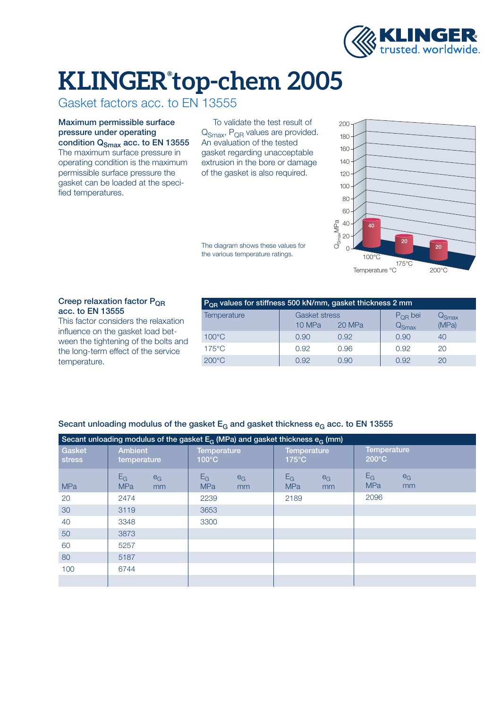

Gasket factors acc. to EN 13555

Maximum permissible surface pressure under operating condition  $Q<sub>Smax</sub>$  acc. to EN 13555

The maximum surface pressure in operating condition is the maximum permissible surface pressure the gasket can be loaded at the specified temperatures.

To validate the test result of Q<sub>Smax</sub>, P<sub>QR</sub> values are provided. An evaluation of the tested gasket regarding unacceptable extrusion in the bore or damage of the gasket is also required.

The diagram shows these values for the various temperature ratings.



#### Creep relaxation factor P<sub>OR</sub> acc. to EN 13555

This factor considers the relaxation influence on the gasket load between the tightening of the bolts and the long-term effect of the service temperature.

| $POR$ values for stiffness 500 kN/mm, gasket thickness 2 mm |                      |        |                      |       |  |  |  |  |
|-------------------------------------------------------------|----------------------|--------|----------------------|-------|--|--|--|--|
| <b>Temperature</b>                                          | <b>Gasket stress</b> |        | $P_{OR}$ bei         | ⊀Smax |  |  |  |  |
|                                                             | 10 MPa               | 20 MPa | $\sqrt{\text{Smax}}$ | (MPa) |  |  |  |  |
| $100^{\circ}$ C                                             | 0.90                 | 0.92   | 0.90                 | 40    |  |  |  |  |
| $175^{\circ}$ C                                             | 0.92                 | 0.96   | 0.92                 | 20    |  |  |  |  |
| $200^{\circ}$ C                                             | 0.92                 | 0.90   | 0.92                 |       |  |  |  |  |

| Secant unloading modulus of the gasket $E_G$ and gasket thickness $e_G$ acc. to EN 13555 |  |  |
|------------------------------------------------------------------------------------------|--|--|
|------------------------------------------------------------------------------------------|--|--|

| Secant unloading modulus of the gasket $E_G$ (MPa) and gasket thickness $e_G$ (mm) |                                    |                                       |                                       |                                       |  |  |  |  |
|------------------------------------------------------------------------------------|------------------------------------|---------------------------------------|---------------------------------------|---------------------------------------|--|--|--|--|
| Gasket<br><b>stress</b>                                                            | <b>Ambient</b><br>temperature      | <b>Temperature</b><br>$100^{\circ}$ C | <b>Temperature</b><br>$175^{\circ}$ C | <b>Temperature</b><br>$200^{\circ}$ C |  |  |  |  |
| <b>MPa</b>                                                                         | $E_G$<br>$e_G$<br><b>MPa</b><br>mm | $E_G$<br>$e_G$<br><b>MPa</b><br>mm    | $E_G$<br>$e_G$<br><b>MPa</b><br>mm    | $E_G$<br>$e_G$<br><b>MPa</b><br>mm    |  |  |  |  |
| 20                                                                                 | 2474                               | 2239                                  | 2189                                  | 2096                                  |  |  |  |  |
| 30                                                                                 | 3119                               | 3653                                  |                                       |                                       |  |  |  |  |
| 40                                                                                 | 3348                               | 3300                                  |                                       |                                       |  |  |  |  |
| 50                                                                                 | 3873                               |                                       |                                       |                                       |  |  |  |  |
| 60                                                                                 | 5257                               |                                       |                                       |                                       |  |  |  |  |
| 80                                                                                 | 5187                               |                                       |                                       |                                       |  |  |  |  |
| 100                                                                                | 6744                               |                                       |                                       |                                       |  |  |  |  |
|                                                                                    |                                    |                                       |                                       |                                       |  |  |  |  |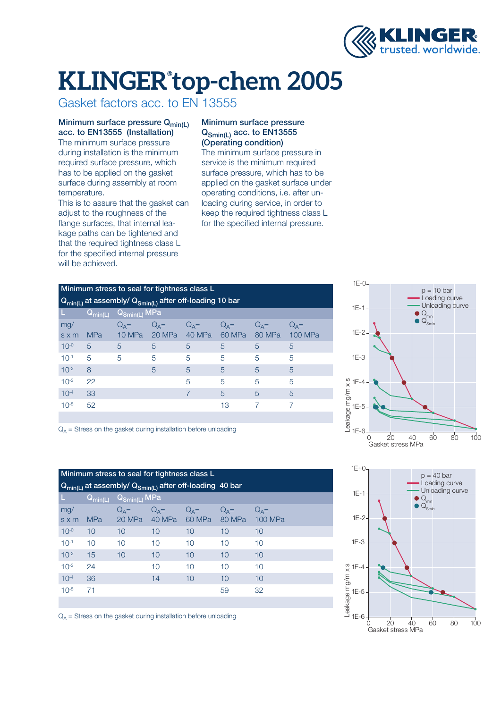

Gasket factors acc. to EN 13555

#### Minimum surface pressure  $Q_{min(L)}$ acc. to EN13555 (Installation)

The minimum surface pressure during installation is the minimum required surface pressure, which has to be applied on the gasket surface during assembly at room temperature.

This is to assure that the gasket can adjust to the roughness of the flange surfaces, that internal leakage paths can be tightened and that the required tightness class L for the specified internal pressure will be achieved.

#### Minimum surface pressure Q<sub>Smin(L)</sub> acc. to EN13555 (Operating condition)

The minimum surface pressure in service is the minimum required surface pressure, which has to be applied on the gasket surface under operating conditions, i.e. after unloading during service, in order to keep the required tightness class L for the specified internal pressure.

|                     | Minimum stress to seal for tightness class L                     | $1E-0-$                                                |                       |                   |                   |                   |                           |                         |           |
|---------------------|------------------------------------------------------------------|--------------------------------------------------------|-----------------------|-------------------|-------------------|-------------------|---------------------------|-------------------------|-----------|
|                     | $Q_{min(L)}$ at assembly/ $Q_{Smin(L)}$ after off-loading 10 bar | $1E-1 -$                                               | $p =$<br>Loac<br>Unlo |                   |                   |                   |                           |                         |           |
|                     | $Q_{min(L)}$                                                     | $\overline{\mathsf{Q}_{\mathsf{Smin(L)}}\mathsf{MPa}}$ |                       |                   |                   |                   |                           |                         | $Q_{min}$ |
| mg/<br>$s \times m$ | <b>MPa</b>                                                       | $Q_A =$<br>10 MPa                                      | $Q_A =$<br>20 MPa     | $Q_A =$<br>40 MPa | $Q_A =$<br>60 MPa | $Q_A =$<br>80 MPa | $Q_A =$<br><b>100 MPa</b> | $1E-2 -$                |           |
| $10^{-0}$           | 5                                                                | 5                                                      | 5                     | 5                 | 5                 | 5                 | 5                         |                         |           |
| $10^{-1}$           | 5                                                                | 5                                                      | 5                     | 5                 | 5                 | 5                 | 5                         | $1E-3-$                 |           |
| $10^{-2}$           | 8                                                                |                                                        | 5                     | 5                 | 5                 | 5                 | 5                         |                         |           |
| $10^{-3}$           | 22                                                               |                                                        |                       | 5                 | 5                 | 5                 | 5                         | ഗ<br>$1E-4$<br>$\times$ |           |
| $10^{-4}$           | 33                                                               |                                                        |                       |                   | 5                 | 5                 | 5                         |                         |           |
| $10^{-5}$           | 52                                                               |                                                        |                       |                   | 13                |                   | $\overline{ }$            | age mg/m<br>$1E-5$      |           |
|                     |                                                                  |                                                        |                       |                   |                   |                   |                           |                         |           |





 $Q_{\Delta}$  = Stress on the gasket during installation before unloading

|                                                                  |                                              |                                                                                                                                                         |                 |               |                 |                | $1E+0$              |                   |
|------------------------------------------------------------------|----------------------------------------------|---------------------------------------------------------------------------------------------------------------------------------------------------------|-----------------|---------------|-----------------|----------------|---------------------|-------------------|
|                                                                  | Minimum stress to seal for tightness class L |                                                                                                                                                         | $p = 4$         |               |                 |                |                     |                   |
| $Q_{min(L)}$ at assembly/ $Q_{Smin(L)}$ after off-loading 40 bar |                                              |                                                                                                                                                         |                 |               |                 |                |                     | Loac<br>Unlo      |
| L.                                                               |                                              | $ \overline{\mathsf{Q}}_{\mathsf{min}(\mathsf{L})} \quad \overline{\mathsf{Q}}_{\mathsf{Smin}(\mathsf{L})} \mathsf{M} \mathsf{P} \mathsf{a}^\mathsf{T}$ |                 |               |                 |                | $1E-1-$             | $Q_{\text{min}}$  |
| mg/                                                              |                                              | $Q_A =$                                                                                                                                                 |                 | $Q_A = Q_A =$ | $Q_A =$         | $Q_A =$        |                     | $Q_{\text{Smir}}$ |
| $s \times m$                                                     | <b>MPa</b>                                   | 20 MPa                                                                                                                                                  | 40 MPa          | 60 MPa        | 80 MPa          | <b>100 MPa</b> | $1E-2-$             |                   |
| $10^{-0}$                                                        | 10                                           | 10                                                                                                                                                      | 10 <sup>°</sup> | 10            | 10 <sup>°</sup> | 10             |                     |                   |
| $10^{-1}$                                                        | 10                                           | 10                                                                                                                                                      | 10 <sup>1</sup> | 10            | 10 <sup>1</sup> | 10             | $1E-3-$             |                   |
| $10^{-2}$                                                        | 15                                           | 10                                                                                                                                                      | 10 <sup>°</sup> | 10            | 10              | 10             |                     |                   |
| $10^{-3}$                                                        | 24                                           |                                                                                                                                                         | 10 <sup>1</sup> | 10            | 10              | 10             | ပာ<br>$1E-4$        |                   |
| $10^{-4}$                                                        | 36                                           |                                                                                                                                                         | 14              | 10            | 10              | 10             |                     |                   |
| $10^{-5}$                                                        | 71                                           |                                                                                                                                                         |                 |               | 59              | 32             | ge mg/m x<br>$1E-5$ |                   |
|                                                                  |                                              |                                                                                                                                                         |                 |               |                 |                |                     |                   |

 $Q_A$  = Stress on the gasket during installation before unloading